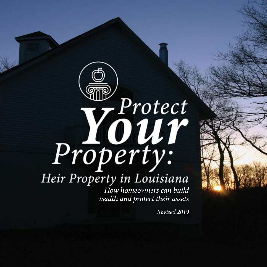# Property: Heir Property in Louisiana

How homeowners can build wealth and protect their assets

Revised 2019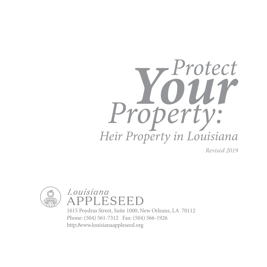

*Revised 2019* 





1615 Poydras Street, Suite 1000, New Orleans, LA 70112 Phone: (504) 561-7312 Fax: (504) 566-1926 http://www.louisianaappleseed.org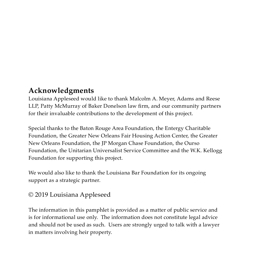## **Acknowledgments**

Louisiana Appleseed would like to thank Malcolm A. Meyer, Adams and Reese LLP, Patty McMurray of Baker Donelson law firm, and our community partners for their invaluable contributions to the development of this project.

Special thanks to the Baton Rouge Area Foundation, the Entergy Charitable Foundation, the Greater New Orleans Fair Housing Action Center, the Greater New Orleans Foundation, the JP Morgan Chase Foundation, the Ourso Foundation, the Unitarian Universalist Service Committee and the W.K. Kellogg Foundation for supporting this project.

We would also like to thank the Louisiana Bar Foundation for its ongoing support as a strategic partner.

#### © 2019 Louisiana Appleseed

The information in this pamphlet is provided as a matter of public service and is for informational use only. The information does not constitute legal advice and should not be used as such. Users are strongly urged to talk with a lawyer in matters involving heir property.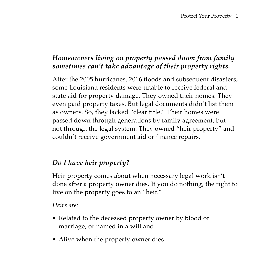#### *Homeowners living on property passed down from family sometimes can't take advantage of their property rights.*

After the 2005 hurricanes, 2016 floods and subsequent disasters, some Louisiana residents were unable to receive federal and state aid for property damage. They owned their homes. They even paid property taxes. But legal documents didn't list them as owners. So, they lacked "clear title." Their homes were passed down through generations by family agreement, but not through the legal system. They owned "heir property" and couldn't receive government aid or finance repairs.

#### *Do I have heir property?*

Heir property comes about when necessary legal work isn't done after a property owner dies. If you do nothing, the right to live on the property goes to an "heir."

*Heirs are:*

- Related to the deceased property owner by blood or marriage, or named in a will and
- Alive when the property owner dies.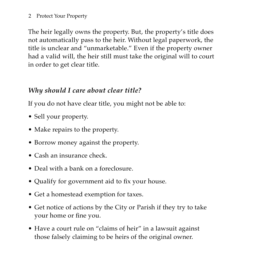#### 2 Protect Your Property

The heir legally owns the property. But, the property's title does not automatically pass to the heir. Without legal paperwork, the title is unclear and "unmarketable." Even if the property owner had a valid will, the heir still must take the original will to court in order to get clear title.

#### *Why should I care about clear title?*

If you do not have clear title, you might not be able to:

- Sell your property.
- Make repairs to the property.
- Borrow money against the property.
- Cash an insurance check.
- Deal with a bank on a foreclosure.
- Qualify for government aid to fix your house.
- Get a homestead exemption for taxes.
- Get notice of actions by the City or Parish if they try to take your home or fine you.
- Have a court rule on "claims of heir" in a lawsuit against those falsely claiming to be heirs of the original owner.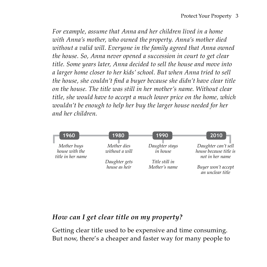*For example, assume that Anna and her children lived in a home with Anna's mother, who owned the property. Anna's mother died without a valid will. Everyone in the family agreed that Anna owned the house. So, Anna never opened a succession in court to get clear title. Some years later, Anna decided to sell the house and move into a larger home closer to her kids' school. But when Anna tried to sell the house, she couldn't find a buyer because she didn't have clear title on the house. The title was still in her mother's name. Without clear title, she would have to accept a much lower price on the home, which wouldn't be enough to help her buy the larger house needed for her and her children.* 



#### *How can I get clear title on my property?*

Getting clear title used to be expensive and time consuming. But now, there's a cheaper and faster way for many people to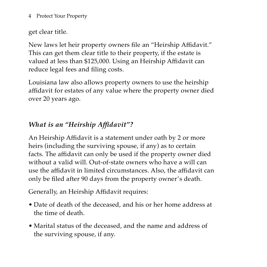4 Protect Your Property

get clear title.

New laws let heir property owners file an "Heirship Affidavit." This can get them clear title to their property, if the estate is valued at less than \$125,000. Using an Heirship Affidavit can reduce legal fees and filing costs.

Louisiana law also allows property owners to use the heirship affidavit for estates of any value where the property owner died over 20 years ago.

### *What is an "Heirship Affidavit"?*

An Heirship Affidavit is a statement under oath by 2 or more heirs (including the surviving spouse, if any) as to certain facts. The affidavit can only be used if the property owner died without a valid will. Out-of-state owners who have a will can use the affidavit in limited circumstances. Also, the affidavit can only be filed after 90 days from the property owner's death.

Generally, an Heirship Affidavit requires:

- Date of death of the deceased, and his or her home address at the time of death.
- Marital status of the deceased, and the name and address of the surviving spouse, if any.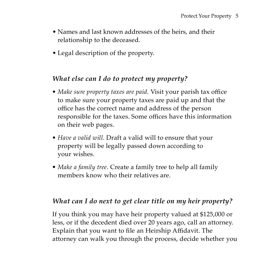- Names and last known addresses of the heirs, and their relationship to the deceased.
- Legal description of the property.

#### *What else can I do to protect my property?*

- *• Make sure property taxes are paid.* Visit your parish tax office to make sure your property taxes are paid up and that the office has the correct name and address of the person responsible for the taxes. Some offices have this information on their web pages.
- *• Have a valid will.* Draft a valid will to ensure that your property will be legally passed down according to your wishes.
- *• Make a family tree.* Create a family tree to help all family members know who their relatives are.

#### *What can I do next to get clear title on my heir property?*

If you think you may have heir property valued at \$125,000 or less, or if the decedent died over 20 years ago, call an attorney. Explain that you want to file an Heirship Affidavit. The attorney can walk you through the process, decide whether you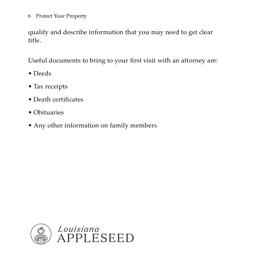6 Protect Your Property

qualify and describe information that you may need to get clear title.

Useful documents to bring to your first visit with an attorney are:

- Deeds
- Tax receipts
- Death certificates
- Obituaries
- Any other information on family members